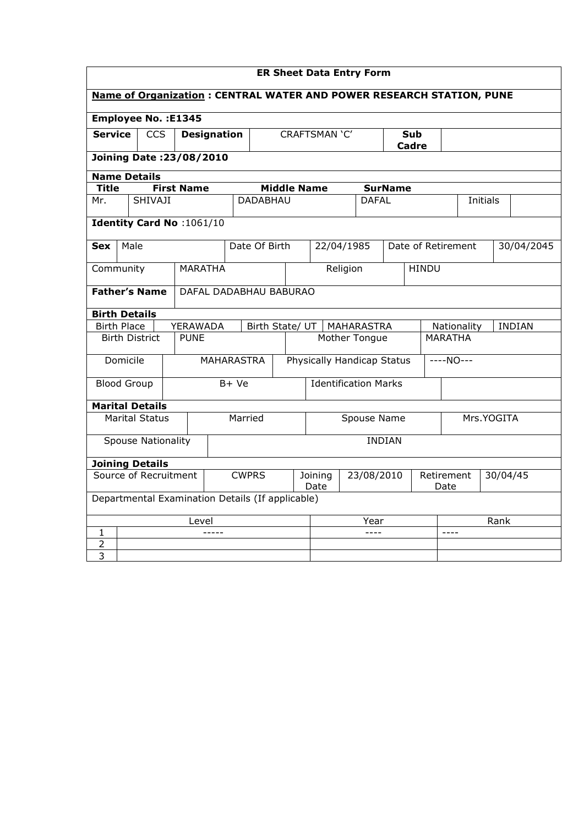| <b>ER Sheet Data Entry Form</b>                                             |                                                  |                           |                   |                    |                        |                               |               |              |            |                |                     |                                  |          |  |               |
|-----------------------------------------------------------------------------|--------------------------------------------------|---------------------------|-------------------|--------------------|------------------------|-------------------------------|---------------|--------------|------------|----------------|---------------------|----------------------------------|----------|--|---------------|
| <b>Name of Organization: CENTRAL WATER AND POWER RESEARCH STATION, PUNE</b> |                                                  |                           |                   |                    |                        |                               |               |              |            |                |                     |                                  |          |  |               |
| Employee No. : E1345                                                        |                                                  |                           |                   |                    |                        |                               |               |              |            |                |                     |                                  |          |  |               |
| <b>Service</b><br><b>CCS</b>                                                |                                                  |                           |                   | <b>Designation</b> |                        |                               | CRAFTSMAN 'C' |              |            |                | <b>Sub</b><br>Cadre |                                  |          |  |               |
|                                                                             | <b>Joining Date: 23/08/2010</b>                  |                           |                   |                    |                        |                               |               |              |            |                |                     |                                  |          |  |               |
| <b>Name Details</b>                                                         |                                                  |                           |                   |                    |                        |                               |               |              |            |                |                     |                                  |          |  |               |
| <b>Title</b>                                                                |                                                  |                           | <b>First Name</b> |                    |                        | <b>Middle Name</b>            |               |              |            | <b>SurName</b> |                     |                                  |          |  |               |
| Mr.                                                                         |                                                  | SHIVAJI                   |                   |                    | <b>DADABHAU</b>        |                               |               | <b>DAFAL</b> |            |                |                     |                                  | Initials |  |               |
|                                                                             |                                                  | Identity Card No: 1061/10 |                   |                    |                        |                               |               |              |            |                |                     |                                  |          |  |               |
| Sex                                                                         | Male                                             |                           |                   |                    | Date Of Birth          |                               | 22/04/1985    |              |            |                |                     | Date of Retirement<br>30/04/2045 |          |  |               |
| Community                                                                   |                                                  |                           | <b>MARATHA</b>    |                    |                        |                               |               | Religion     |            |                |                     | <b>HINDU</b>                     |          |  |               |
|                                                                             |                                                  | <b>Father's Name</b>      |                   |                    | DAFAL DADABHAU BABURAO |                               |               |              |            |                |                     |                                  |          |  |               |
| <b>Birth Details</b>                                                        |                                                  |                           |                   |                    |                        |                               |               |              |            |                |                     |                                  |          |  |               |
|                                                                             | <b>Birth Place</b>                               |                           | YERAWADA          |                    | Birth State/ UT        |                               |               |              | MAHARASTRA |                |                     | Nationality                      |          |  | <b>INDIAN</b> |
|                                                                             | <b>Birth District</b>                            |                           | <b>PUNE</b>       |                    |                        | Mother Tongue                 |               |              |            |                | <b>MARATHA</b>      |                                  |          |  |               |
|                                                                             | Domicile                                         |                           |                   |                    | <b>MAHARASTRA</b>      | Physically Handicap Status    |               |              |            |                |                     | $---NO---$                       |          |  |               |
|                                                                             | <b>Blood Group</b>                               |                           |                   | $B+Ve$             |                        | <b>Identification Marks</b>   |               |              |            |                |                     |                                  |          |  |               |
|                                                                             |                                                  | <b>Marital Details</b>    |                   |                    |                        |                               |               |              |            |                |                     |                                  |          |  |               |
|                                                                             |                                                  | <b>Marital Status</b>     |                   |                    | Married                | Spouse Name                   |               |              |            |                |                     | Mrs.YOGITA                       |          |  |               |
|                                                                             |                                                  | <b>Spouse Nationality</b> |                   |                    |                        |                               |               |              |            | <b>INDIAN</b>  |                     |                                  |          |  |               |
|                                                                             |                                                  | <b>Joining Details</b>    |                   |                    |                        |                               |               |              |            |                |                     |                                  |          |  |               |
| Source of Recruitment                                                       |                                                  |                           |                   | <b>CWPRS</b>       |                        | Joining<br>23/08/2010<br>Date |               | Retirement   |            | Date           |                     | 30/04/45                         |          |  |               |
|                                                                             | Departmental Examination Details (If applicable) |                           |                   |                    |                        |                               |               |              |            |                |                     |                                  |          |  |               |
|                                                                             |                                                  |                           | Level             |                    |                        |                               |               |              | Year       |                |                     |                                  | Rank     |  |               |
| $\mathbf{1}$                                                                |                                                  |                           |                   | $- - - - -$        |                        |                               |               |              | $- - - -$  |                |                     | $\frac{1}{2}$                    |          |  |               |
| 2                                                                           |                                                  |                           |                   |                    |                        |                               |               |              |            |                |                     |                                  |          |  |               |
| 3                                                                           |                                                  |                           |                   |                    |                        |                               |               |              |            |                |                     |                                  |          |  |               |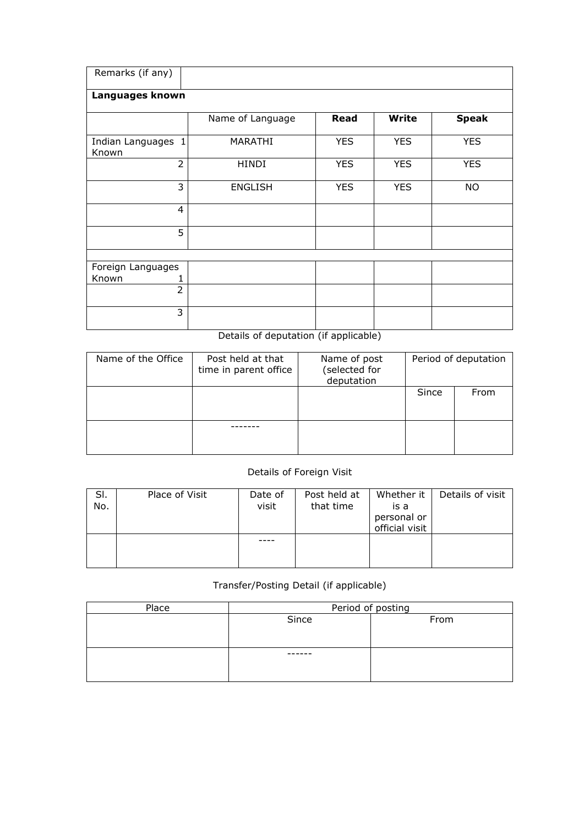| Remarks (if any)            |                  |            |              |              |  |  |  |  |  |  |  |
|-----------------------------|------------------|------------|--------------|--------------|--|--|--|--|--|--|--|
| Languages known             |                  |            |              |              |  |  |  |  |  |  |  |
|                             | Name of Language | Read       | <b>Write</b> | <b>Speak</b> |  |  |  |  |  |  |  |
| Indian Languages 1<br>Known | MARATHI          | <b>YES</b> | <b>YES</b>   | <b>YES</b>   |  |  |  |  |  |  |  |
| $\overline{2}$              | HINDI            | <b>YES</b> | <b>YES</b>   | <b>YES</b>   |  |  |  |  |  |  |  |
| 3                           | <b>ENGLISH</b>   | <b>YES</b> | <b>YES</b>   | <b>NO</b>    |  |  |  |  |  |  |  |
| $\overline{4}$              |                  |            |              |              |  |  |  |  |  |  |  |
| 5                           |                  |            |              |              |  |  |  |  |  |  |  |
|                             |                  |            |              |              |  |  |  |  |  |  |  |
| Foreign Languages           |                  |            |              |              |  |  |  |  |  |  |  |
| Known                       |                  |            |              |              |  |  |  |  |  |  |  |
| $\overline{2}$              |                  |            |              |              |  |  |  |  |  |  |  |
| 3                           |                  |            |              |              |  |  |  |  |  |  |  |

Details of deputation (if applicable)

| Name of the Office | Post held at that<br>time in parent office | Name of post<br>(selected for<br>deputation | Period of deputation |      |  |
|--------------------|--------------------------------------------|---------------------------------------------|----------------------|------|--|
|                    |                                            |                                             | Since                | From |  |
|                    |                                            |                                             |                      |      |  |

## Details of Foreign Visit

| SI.<br>No. | Place of Visit | Date of<br>visit | Post held at<br>that time | Whether it<br>is a<br>personal or<br>official visit | Details of visit |
|------------|----------------|------------------|---------------------------|-----------------------------------------------------|------------------|
|            |                |                  |                           |                                                     |                  |

## Transfer/Posting Detail (if applicable)

| Place | Period of posting |      |  |  |  |  |  |
|-------|-------------------|------|--|--|--|--|--|
|       | Since             | From |  |  |  |  |  |
|       |                   |      |  |  |  |  |  |
|       |                   |      |  |  |  |  |  |
|       | -----             |      |  |  |  |  |  |
|       |                   |      |  |  |  |  |  |
|       |                   |      |  |  |  |  |  |